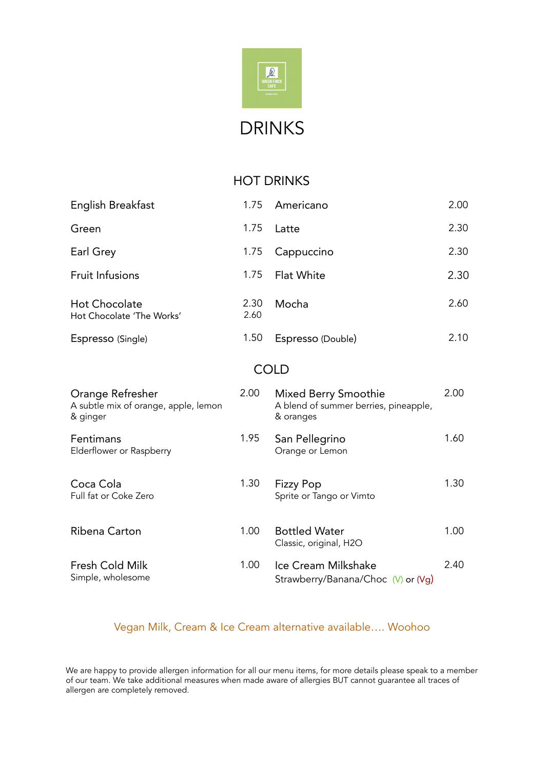

#### HOT DRINKS

| English Breakfast                                                    | 1.75         | Americano                                                                  | 2.00 |  |  |  |  |
|----------------------------------------------------------------------|--------------|----------------------------------------------------------------------------|------|--|--|--|--|
| Green                                                                | 1.75         | Latte                                                                      | 2.30 |  |  |  |  |
| Earl Grey                                                            | 1.75         | Cappuccino                                                                 | 2.30 |  |  |  |  |
| <b>Fruit Infusions</b>                                               | 1.75         | Flat White                                                                 | 2.30 |  |  |  |  |
| <b>Hot Chocolate</b><br>Hot Chocolate 'The Works'                    | 2.30<br>2.60 | Mocha                                                                      | 2.60 |  |  |  |  |
| Espresso (Single)                                                    | 1.50         | Espresso (Double)                                                          | 2.10 |  |  |  |  |
| <b>COLD</b>                                                          |              |                                                                            |      |  |  |  |  |
| Orange Refresher<br>A subtle mix of orange, apple, lemon<br>& ginger | 2.00         | Mixed Berry Smoothie<br>A blend of summer berries, pineapple,<br>& oranges | 2.00 |  |  |  |  |
| Fentimans<br>Elderflower or Raspberry                                | 1.95         | San Pellegrino<br>Orange or Lemon                                          | 1.60 |  |  |  |  |
| Coca Cola<br>Full fat or Coke Zero                                   | 1.30         | <b>Fizzy Pop</b><br>Sprite or Tango or Vimto                               | 1.30 |  |  |  |  |
| Ribena Carton                                                        | 1.00         | <b>Bottled Water</b><br>Classic, original, H2O                             | 1.00 |  |  |  |  |
| Fresh Cold Milk<br>Simple, wholesome                                 | 1.00         | Ice Cream Milkshake<br>Strawberry/Banana/Choc (V) or (Vg)                  | 2.40 |  |  |  |  |

#### Vegan Milk, Cream & Ice Cream alternative available…. Woohoo

We are happy to provide allergen information for all our menu items, for more details please speak to a member of our team. We take additional measures when made aware of allergies BUT cannot guarantee all traces of allergen are completely removed.